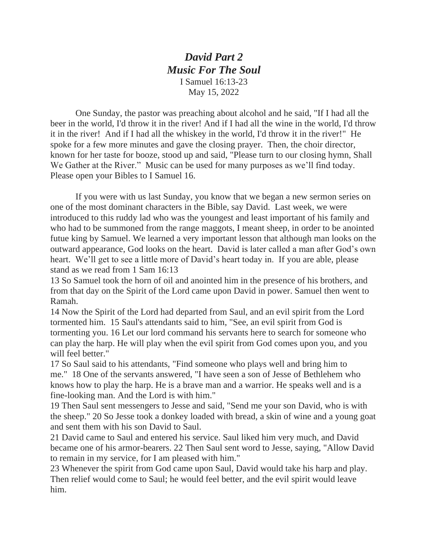*David Part 2 Music For The Soul* I Samuel 16:13-23 May 15, 2022

One Sunday, the pastor was preaching about alcohol and he said, "If I had all the beer in the world, I'd throw it in the river! And if I had all the wine in the world, I'd throw it in the river! And if I had all the whiskey in the world, I'd throw it in the river!" He spoke for a few more minutes and gave the closing prayer. Then, the choir director, known for her taste for booze, stood up and said, "Please turn to our closing hymn, Shall We Gather at the River." Music can be used for many purposes as we'll find today. Please open your Bibles to I Samuel 16.

If you were with us last Sunday, you know that we began a new sermon series on one of the most dominant characters in the Bible, say David. Last week, we were introduced to this ruddy lad who was the youngest and least important of his family and who had to be summoned from the range maggots, I meant sheep, in order to be anointed futue king by Samuel. We learned a very important lesson that although man looks on the outward appearance, God looks on the heart. David is later called a man after God's own heart. We'll get to see a little more of David's heart today in. If you are able, please stand as we read from 1 Sam 16:13

13 So Samuel took the horn of oil and anointed him in the presence of his brothers, and from that day on the Spirit of the Lord came upon David in power. Samuel then went to Ramah.

14 Now the Spirit of the Lord had departed from Saul, and an evil spirit from the Lord tormented him. 15 Saul's attendants said to him, "See, an evil spirit from God is tormenting you. 16 Let our lord command his servants here to search for someone who can play the harp. He will play when the evil spirit from God comes upon you, and you will feel better."

17 So Saul said to his attendants, "Find someone who plays well and bring him to me." 18 One of the servants answered, "I have seen a son of Jesse of Bethlehem who knows how to play the harp. He is a brave man and a warrior. He speaks well and is a fine-looking man. And the Lord is with him."

19 Then Saul sent messengers to Jesse and said, "Send me your son David, who is with the sheep." 20 So Jesse took a donkey loaded with bread, a skin of wine and a young goat and sent them with his son David to Saul.

21 David came to Saul and entered his service. Saul liked him very much, and David became one of his armor-bearers. 22 Then Saul sent word to Jesse, saying, "Allow David to remain in my service, for I am pleased with him."

23 Whenever the spirit from God came upon Saul, David would take his harp and play. Then relief would come to Saul; he would feel better, and the evil spirit would leave him.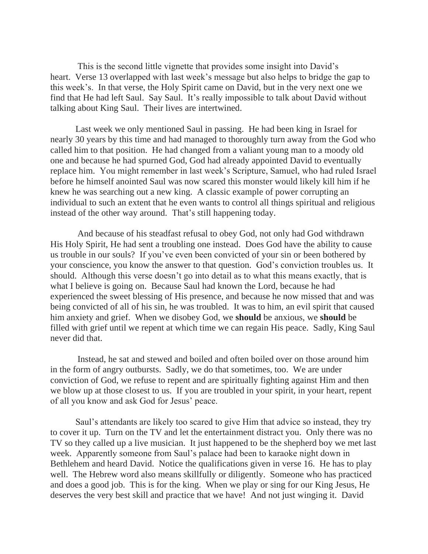This is the second little vignette that provides some insight into David's heart. Verse 13 overlapped with last week's message but also helps to bridge the gap to this week's. In that verse, the Holy Spirit came on David, but in the very next one we find that He had left Saul. Say Saul. It's really impossible to talk about David without talking about King Saul. Their lives are intertwined.

Last week we only mentioned Saul in passing. He had been king in Israel for nearly 30 years by this time and had managed to thoroughly turn away from the God who called him to that position. He had changed from a valiant young man to a moody old one and because he had spurned God, God had already appointed David to eventually replace him. You might remember in last week's Scripture, Samuel, who had ruled Israel before he himself anointed Saul was now scared this monster would likely kill him if he knew he was searching out a new king. A classic example of power corrupting an individual to such an extent that he even wants to control all things spiritual and religious instead of the other way around. That's still happening today.

 And because of his steadfast refusal to obey God, not only had God withdrawn His Holy Spirit, He had sent a troubling one instead. Does God have the ability to cause us trouble in our souls? If you've even been convicted of your sin or been bothered by your conscience, you know the answer to that question. God's conviction troubles us. It should. Although this verse doesn't go into detail as to what this means exactly, that is what I believe is going on. Because Saul had known the Lord, because he had experienced the sweet blessing of His presence, and because he now missed that and was being convicted of all of his sin, he was troubled. It was to him, an evil spirit that caused him anxiety and grief. When we disobey God, we **should** be anxious, we **should** be filled with grief until we repent at which time we can regain His peace. Sadly, King Saul never did that.

 Instead, he sat and stewed and boiled and often boiled over on those around him in the form of angry outbursts. Sadly, we do that sometimes, too. We are under conviction of God, we refuse to repent and are spiritually fighting against Him and then we blow up at those closest to us. If you are troubled in your spirit, in your heart, repent of all you know and ask God for Jesus' peace.

Saul's attendants are likely too scared to give Him that advice so instead, they try to cover it up. Turn on the TV and let the entertainment distract you. Only there was no TV so they called up a live musician. It just happened to be the shepherd boy we met last week. Apparently someone from Saul's palace had been to karaoke night down in Bethlehem and heard David. Notice the qualifications given in verse 16. He has to play well. The Hebrew word also means skillfully or diligently. Someone who has practiced and does a good job. This is for the king. When we play or sing for our King Jesus, He deserves the very best skill and practice that we have! And not just winging it. David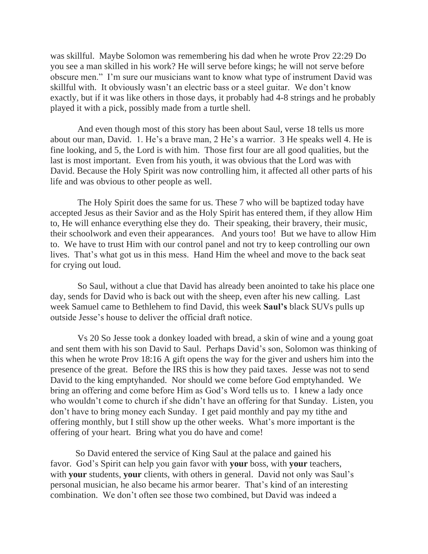was skillful. Maybe Solomon was remembering his dad when he wrote Prov 22:29 Do you see a man skilled in his work? He will serve before kings; he will not serve before obscure men." I'm sure our musicians want to know what type of instrument David was skillful with. It obviously wasn't an electric bass or a steel guitar. We don't know exactly, but if it was like others in those days, it probably had 4-8 strings and he probably played it with a pick, possibly made from a turtle shell.

 And even though most of this story has been about Saul, verse 18 tells us more about our man, David. 1. He's a brave man, 2 He's a warrior. 3 He speaks well 4. He is fine looking, and 5, the Lord is with him. Those first four are all good qualities, but the last is most important. Even from his youth, it was obvious that the Lord was with David. Because the Holy Spirit was now controlling him, it affected all other parts of his life and was obvious to other people as well.

 The Holy Spirit does the same for us. These 7 who will be baptized today have accepted Jesus as their Savior and as the Holy Spirit has entered them, if they allow Him to, He will enhance everything else they do. Their speaking, their bravery, their music, their schoolwork and even their appearances. And yours too! But we have to allow Him to. We have to trust Him with our control panel and not try to keep controlling our own lives. That's what got us in this mess. Hand Him the wheel and move to the back seat for crying out loud.

 So Saul, without a clue that David has already been anointed to take his place one day, sends for David who is back out with the sheep, even after his new calling. Last week Samuel came to Bethlehem to find David, this week **Saul's** black SUVs pulls up outside Jesse's house to deliver the official draft notice.

 Vs 20 So Jesse took a donkey loaded with bread, a skin of wine and a young goat and sent them with his son David to Saul. Perhaps David's son, Solomon was thinking of this when he wrote Prov 18:16 A gift opens the way for the giver and ushers him into the presence of the great. Before the IRS this is how they paid taxes. Jesse was not to send David to the king emptyhanded. Nor should we come before God emptyhanded. We bring an offering and come before Him as God's Word tells us to. I knew a lady once who wouldn't come to church if she didn't have an offering for that Sunday. Listen, you don't have to bring money each Sunday. I get paid monthly and pay my tithe and offering monthly, but I still show up the other weeks. What's more important is the offering of your heart. Bring what you do have and come!

So David entered the service of King Saul at the palace and gained his favor. God's Spirit can help you gain favor with **your** boss, with **your** teachers, with **your** students, **your** clients, with others in general. David not only was Saul's personal musician, he also became his armor bearer. That's kind of an interesting combination. We don't often see those two combined, but David was indeed a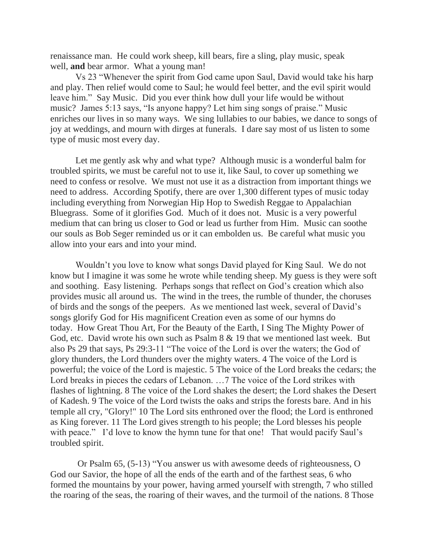renaissance man. He could work sheep, kill bears, fire a sling, play music, speak well, **and** bear armor. What a young man!

Vs 23 "Whenever the spirit from God came upon Saul, David would take his harp and play. Then relief would come to Saul; he would feel better, and the evil spirit would leave him." Say Music. Did you ever think how dull your life would be without music? James 5:13 says, "Is anyone happy? Let him sing songs of praise." Music enriches our lives in so many ways. We sing lullabies to our babies, we dance to songs of joy at weddings, and mourn with dirges at funerals. I dare say most of us listen to some type of music most every day.

Let me gently ask why and what type? Although music is a wonderful balm for troubled spirits, we must be careful not to use it, like Saul, to cover up something we need to confess or resolve. We must not use it as a distraction from important things we need to address. According Spotify, there are over 1,300 different types of music today including everything from Norwegian Hip Hop to Swedish Reggae to Appalachian Bluegrass. Some of it glorifies God. Much of it does not. Music is a very powerful medium that can bring us closer to God or lead us further from Him. Music can soothe our souls as Bob Seger reminded us or it can embolden us. Be careful what music you allow into your ears and into your mind.

Wouldn't you love to know what songs David played for King Saul. We do not know but I imagine it was some he wrote while tending sheep. My guess is they were soft and soothing. Easy listening. Perhaps songs that reflect on God's creation which also provides music all around us. The wind in the trees, the rumble of thunder, the choruses of birds and the songs of the peepers. As we mentioned last week, several of David's songs glorify God for His magnificent Creation even as some of our hymns do today. How Great Thou Art, For the Beauty of the Earth, I Sing The Mighty Power of God, etc. David wrote his own such as Psalm 8 & 19 that we mentioned last week. But also Ps 29 that says, Ps 29:3-11 "The voice of the Lord is over the waters; the God of glory thunders, the Lord thunders over the mighty waters. 4 The voice of the Lord is powerful; the voice of the Lord is majestic. 5 The voice of the Lord breaks the cedars; the Lord breaks in pieces the cedars of Lebanon. …7 The voice of the Lord strikes with flashes of lightning. 8 The voice of the Lord shakes the desert; the Lord shakes the Desert of Kadesh. 9 The voice of the Lord twists the oaks and strips the forests bare. And in his temple all cry, "Glory!" 10 The Lord sits enthroned over the flood; the Lord is enthroned as King forever. 11 The Lord gives strength to his people; the Lord blesses his people with peace." I'd love to know the hymn tune for that one! That would pacify Saul's troubled spirit.

 Or Psalm 65, (5-13) "You answer us with awesome deeds of righteousness, O God our Savior, the hope of all the ends of the earth and of the farthest seas, 6 who formed the mountains by your power, having armed yourself with strength, 7 who stilled the roaring of the seas, the roaring of their waves, and the turmoil of the nations. 8 Those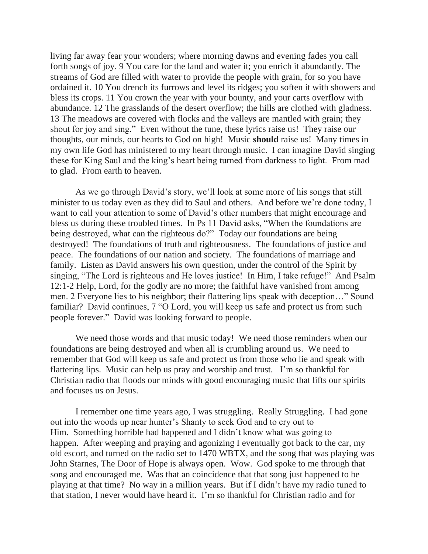living far away fear your wonders; where morning dawns and evening fades you call forth songs of joy. 9 You care for the land and water it; you enrich it abundantly. The streams of God are filled with water to provide the people with grain, for so you have ordained it. 10 You drench its furrows and level its ridges; you soften it with showers and bless its crops. 11 You crown the year with your bounty, and your carts overflow with abundance. 12 The grasslands of the desert overflow; the hills are clothed with gladness. 13 The meadows are covered with flocks and the valleys are mantled with grain; they shout for joy and sing." Even without the tune, these lyrics raise us! They raise our thoughts, our minds, our hearts to God on high! Music **should** raise us! Many times in my own life God has ministered to my heart through music. I can imagine David singing these for King Saul and the king's heart being turned from darkness to light. From mad to glad. From earth to heaven.

As we go through David's story, we'll look at some more of his songs that still minister to us today even as they did to Saul and others. And before we're done today, I want to call your attention to some of David's other numbers that might encourage and bless us during these troubled times. In Ps 11 David asks, "When the foundations are being destroyed, what can the righteous do?" Today our foundations are being destroyed! The foundations of truth and righteousness. The foundations of justice and peace. The foundations of our nation and society. The foundations of marriage and family. Listen as David answers his own question, under the control of the Spirit by singing, "The Lord is righteous and He loves justice! In Him, I take refuge!" And Psalm 12:1-2 Help, Lord, for the godly are no more; the faithful have vanished from among men. 2 Everyone lies to his neighbor; their flattering lips speak with deception…" Sound familiar? David continues, 7 "O Lord, you will keep us safe and protect us from such people forever." David was looking forward to people.

We need those words and that music today! We need those reminders when our foundations are being destroyed and when all is crumbling around us. We need to remember that God will keep us safe and protect us from those who lie and speak with flattering lips. Music can help us pray and worship and trust. I'm so thankful for Christian radio that floods our minds with good encouraging music that lifts our spirits and focuses us on Jesus.

I remember one time years ago, I was struggling. Really Struggling. I had gone out into the woods up near hunter's Shanty to seek God and to cry out to Him. Something horrible had happened and I didn't know what was going to happen. After weeping and praying and agonizing I eventually got back to the car, my old escort, and turned on the radio set to 1470 WBTX, and the song that was playing was John Starnes, The Door of Hope is always open. Wow. God spoke to me through that song and encouraged me. Was that an coincidence that that song just happened to be playing at that time? No way in a million years. But if I didn't have my radio tuned to that station, I never would have heard it. I'm so thankful for Christian radio and for